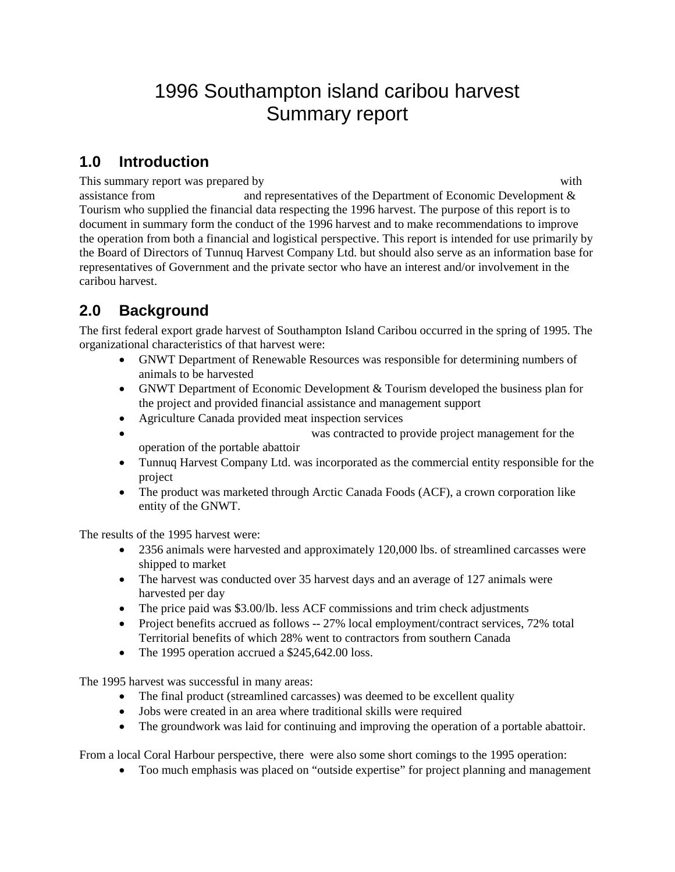# 1996 Southampton island caribou harvest Summary report

## **1.0 Introduction**

This summary report was prepared by Leonard Netser (President, Tunnul Harvest Company Leonard Arvest Company L

assistance from and representatives of the Department of Economic Development & Tourism who supplied the financial data respecting the 1996 harvest. The purpose of this report is to document in summary form the conduct of the 1996 harvest and to make recommendations to improve the operation from both a financial and logistical perspective. This report is intended for use primarily by the Board of Directors of Tunnuq Harvest Company Ltd. but should also serve as an information base for representatives of Government and the private sector who have an interest and/or involvement in the caribou harvest.

## **2.0 Background**

The first federal export grade harvest of Southampton Island Caribou occurred in the spring of 1995. The organizational characteristics of that harvest were:

- GNWT Department of Renewable Resources was responsible for determining numbers of animals to be harvested
- GNWT Department of Economic Development & Tourism developed the business plan for the project and provided financial assistance and management support
- Agriculture Canada provided meat inspection services
- was contracted to provide project management for the operation of the portable abattoir
- Tunnuq Harvest Company Ltd. was incorporated as the commercial entity responsible for the project
- The product was marketed through Arctic Canada Foods (ACF), a crown corporation like entity of the GNWT.

The results of the 1995 harvest were:

- 2356 animals were harvested and approximately 120,000 lbs. of streamlined carcasses were shipped to market
- The harvest was conducted over 35 harvest days and an average of 127 animals were harvested per day
- The price paid was \$3.00/lb. less ACF commissions and trim check adjustments
- Project benefits accrued as follows -- 27% local employment/contract services, 72% total Territorial benefits of which 28% went to contractors from southern Canada
- The 1995 operation accrued a \$245,642.00 loss.

The 1995 harvest was successful in many areas:

- The final product (streamlined carcasses) was deemed to be excellent quality
- Jobs were created in an area where traditional skills were required
- The groundwork was laid for continuing and improving the operation of a portable abattoir.

From a local Coral Harbour perspective, there were also some short comings to the 1995 operation:

• Too much emphasis was placed on "outside expertise" for project planning and management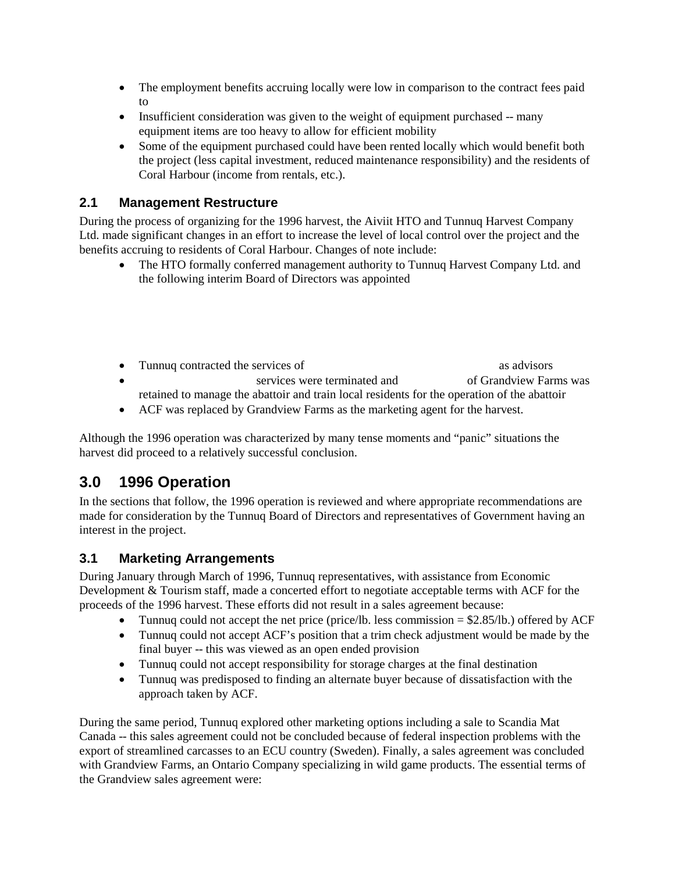- The employment benefits accruing locally were low in comparison to the contract fees paid to Beaudoin  $\mathcal{B}$
- Insufficient consideration was given to the weight of equipment purchased -- many equipment items are too heavy to allow for efficient mobility
- Some of the equipment purchased could have been rented locally which would benefit both the project (less capital investment, reduced maintenance responsibility) and the residents of Coral Harbour (income from rentals, etc.).

### **2.1 Management Restructure**

During the process of organizing for the 1996 harvest, the Aiviit HTO and Tunnuq Harvest Company Ltd. made significant changes in an effort to increase the level of local control over the project and the benefits accruing to residents of Coral Harbour. Changes of note include:

- The HTO formally conferred management authority to Tunnuq Harvest Company Ltd. and the following interim Board of Directors was appointed
- Tunnuq contracted the services of and Brian Threadkell as advisors as advisors • Beaudoin Services were terminated and  $\bullet$  Ortan Pelling of Grandview Farms was retained to manage the abattoir and train local residents for the operation of the abattoir
- ACF was replaced by Grandview Farms as the marketing agent for the harvest.

Although the 1996 operation was characterized by many tense moments and "panic" situations the harvest did proceed to a relatively successful conclusion.

## **3.0 1996 Operation**

In the sections that follow, the 1996 operation is reviewed and where appropriate recommendations are made for consideration by the Tunnuq Board of Directors and representatives of Government having an interest in the project.

## **3.1 Marketing Arrangements**

During January through March of 1996, Tunnuq representatives, with assistance from Economic Development & Tourism staff, made a concerted effort to negotiate acceptable terms with ACF for the proceeds of the 1996 harvest. These efforts did not result in a sales agreement because:

- Tunnuq could not accept the net price (price/lb. less commission  $= $2.85/1b$ .) offered by ACF
- Tunnuq could not accept ACF's position that a trim check adjustment would be made by the final buyer -- this was viewed as an open ended provision
- Tunnuq could not accept responsibility for storage charges at the final destination
- Tunnuq was predisposed to finding an alternate buyer because of dissatisfaction with the approach taken by ACF.

During the same period, Tunnuq explored other marketing options including a sale to Scandia Mat Canada -- this sales agreement could not be concluded because of federal inspection problems with the export of streamlined carcasses to an ECU country (Sweden). Finally, a sales agreement was concluded with Grandview Farms, an Ontario Company specializing in wild game products. The essential terms of the Grandview sales agreement were: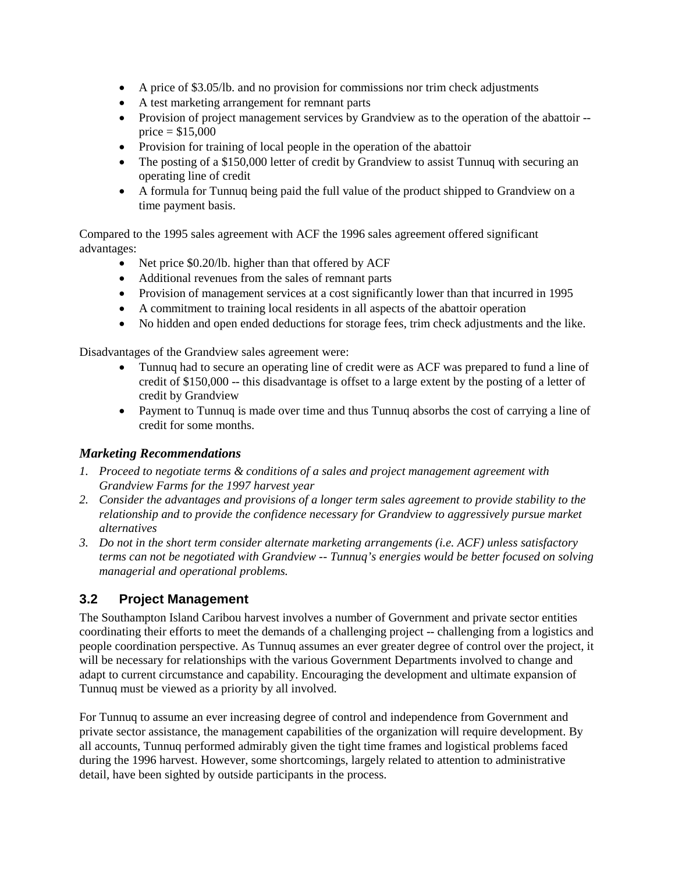- A price of \$3.05/lb. and no provision for commissions nor trim check adjustments
- A test marketing arrangement for remnant parts
- Provision of project management services by Grandview as to the operation of the abattoir -price  $= $15,000$
- Provision for training of local people in the operation of the abattoir
- The posting of a \$150,000 letter of credit by Grandview to assist Tunnuq with securing an operating line of credit
- A formula for Tunnuq being paid the full value of the product shipped to Grandview on a time payment basis.

Compared to the 1995 sales agreement with ACF the 1996 sales agreement offered significant advantages:

- Net price \$0.20/lb. higher than that offered by ACF
- Additional revenues from the sales of remnant parts
- Provision of management services at a cost significantly lower than that incurred in 1995
- A commitment to training local residents in all aspects of the abattoir operation
- No hidden and open ended deductions for storage fees, trim check adjustments and the like.

Disadvantages of the Grandview sales agreement were:

- Tunnuq had to secure an operating line of credit were as ACF was prepared to fund a line of credit of \$150,000 -- this disadvantage is offset to a large extent by the posting of a letter of credit by Grandview
- Payment to Tunnuq is made over time and thus Tunnuq absorbs the cost of carrying a line of credit for some months.

#### *Marketing Recommendations*

- *1. Proceed to negotiate terms & conditions of a sales and project management agreement with Grandview Farms for the 1997 harvest year*
- *2. Consider the advantages and provisions of a longer term sales agreement to provide stability to the relationship and to provide the confidence necessary for Grandview to aggressively pursue market alternatives*
- *3. Do not in the short term consider alternate marketing arrangements (i.e. ACF) unless satisfactory terms can not be negotiated with Grandview -- Tunnuq's energies would be better focused on solving managerial and operational problems.*

## **3.2 Project Management**

The Southampton Island Caribou harvest involves a number of Government and private sector entities coordinating their efforts to meet the demands of a challenging project -- challenging from a logistics and people coordination perspective. As Tunnuq assumes an ever greater degree of control over the project, it will be necessary for relationships with the various Government Departments involved to change and adapt to current circumstance and capability. Encouraging the development and ultimate expansion of Tunnuq must be viewed as a priority by all involved.

For Tunnuq to assume an ever increasing degree of control and independence from Government and private sector assistance, the management capabilities of the organization will require development. By all accounts, Tunnuq performed admirably given the tight time frames and logistical problems faced during the 1996 harvest. However, some shortcomings, largely related to attention to administrative detail, have been sighted by outside participants in the process.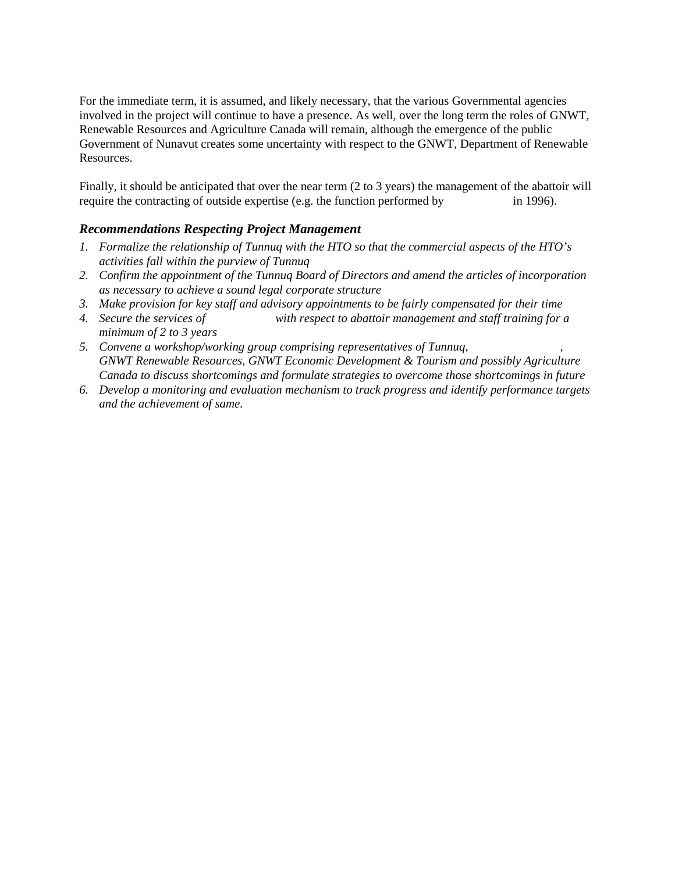For the immediate term, it is assumed, and likely necessary, that the various Governmental agencies involved in the project will continue to have a presence. As well, over the long term the roles of GNWT, Renewable Resources and Agriculture Canada will remain, although the emergence of the public Government of Nunavut creates some uncertainty with respect to the GNWT, Department of Renewable Resources.

Finally, it should be anticipated that over the near term (2 to 3 years) the management of the abattoir will require the contracting of outside expertise (e.g. the function performed by  $\qquad \qquad$  in 1996).

#### *Recommendations Respecting Project Management*

- *1. Formalize the relationship of Tunnuq with the HTO so that the commercial aspects of the HTO's activities fall within the purview of Tunnuq*
- *2. Confirm the appointment of the Tunnuq Board of Directors and amend the articles of incorporation as necessary to achieve a sound legal corporate structure*
- *3. Make provision for key staff and advisory appointments to be fairly compensated for their time*
- *4. Secure the services of*  $\cdots$  *with respect to abattoir management and staff training for a minimum of 2 to 3 years*
- 5. Convene a workshop/working group comprising representatives of Tunnuq, *GNWT Renewable Resources, GNWT Economic Development & Tourism and possibly Agriculture Canada to discuss shortcomings and formulate strategies to overcome those shortcomings in future*
- *6. Develop a monitoring and evaluation mechanism to track progress and identify performance targets and the achievement of same.*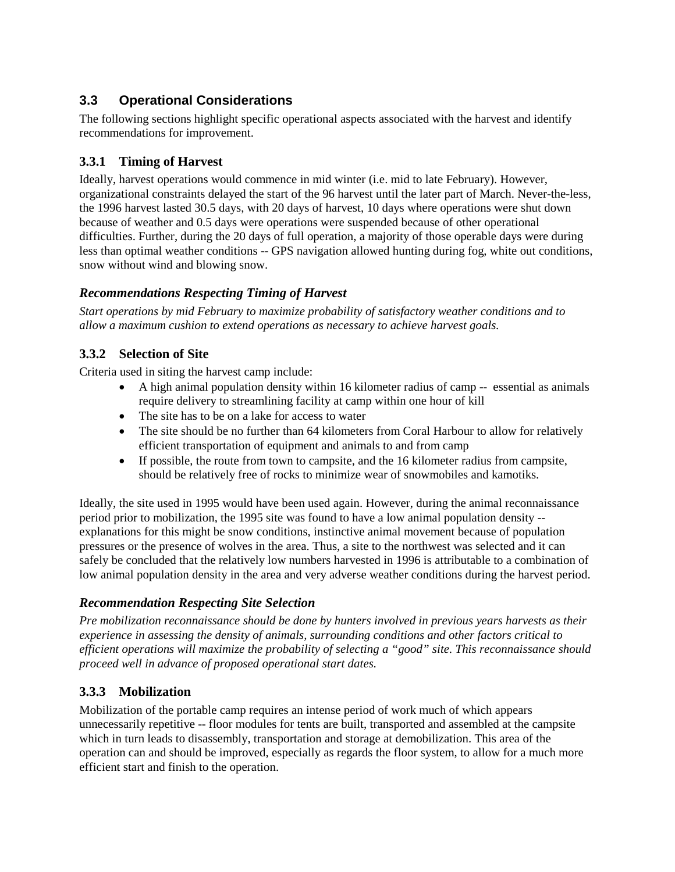## **3.3 Operational Considerations**

The following sections highlight specific operational aspects associated with the harvest and identify recommendations for improvement.

### **3.3.1 Timing of Harvest**

Ideally, harvest operations would commence in mid winter (i.e. mid to late February). However, organizational constraints delayed the start of the 96 harvest until the later part of March. Never-the-less, the 1996 harvest lasted 30.5 days, with 20 days of harvest, 10 days where operations were shut down because of weather and 0.5 days were operations were suspended because of other operational difficulties. Further, during the 20 days of full operation, a majority of those operable days were during less than optimal weather conditions -- GPS navigation allowed hunting during fog, white out conditions, snow without wind and blowing snow.

#### *Recommendations Respecting Timing of Harvest*

*Start operations by mid February to maximize probability of satisfactory weather conditions and to allow a maximum cushion to extend operations as necessary to achieve harvest goals.*

#### **3.3.2 Selection of Site**

Criteria used in siting the harvest camp include:

- A high animal population density within 16 kilometer radius of camp -- essential as animals require delivery to streamlining facility at camp within one hour of kill
- The site has to be on a lake for access to water
- The site should be no further than 64 kilometers from Coral Harbour to allow for relatively efficient transportation of equipment and animals to and from camp
- If possible, the route from town to campsite, and the 16 kilometer radius from campsite, should be relatively free of rocks to minimize wear of snowmobiles and kamotiks.

Ideally, the site used in 1995 would have been used again. However, during the animal reconnaissance period prior to mobilization, the 1995 site was found to have a low animal population density - explanations for this might be snow conditions, instinctive animal movement because of population pressures or the presence of wolves in the area. Thus, a site to the northwest was selected and it can safely be concluded that the relatively low numbers harvested in 1996 is attributable to a combination of low animal population density in the area and very adverse weather conditions during the harvest period.

#### *Recommendation Respecting Site Selection*

*Pre mobilization reconnaissance should be done by hunters involved in previous years harvests as their experience in assessing the density of animals, surrounding conditions and other factors critical to efficient operations will maximize the probability of selecting a "good" site. This reconnaissance should proceed well in advance of proposed operational start dates.*

#### **3.3.3 Mobilization**

Mobilization of the portable camp requires an intense period of work much of which appears unnecessarily repetitive -- floor modules for tents are built, transported and assembled at the campsite which in turn leads to disassembly, transportation and storage at demobilization. This area of the operation can and should be improved, especially as regards the floor system, to allow for a much more efficient start and finish to the operation.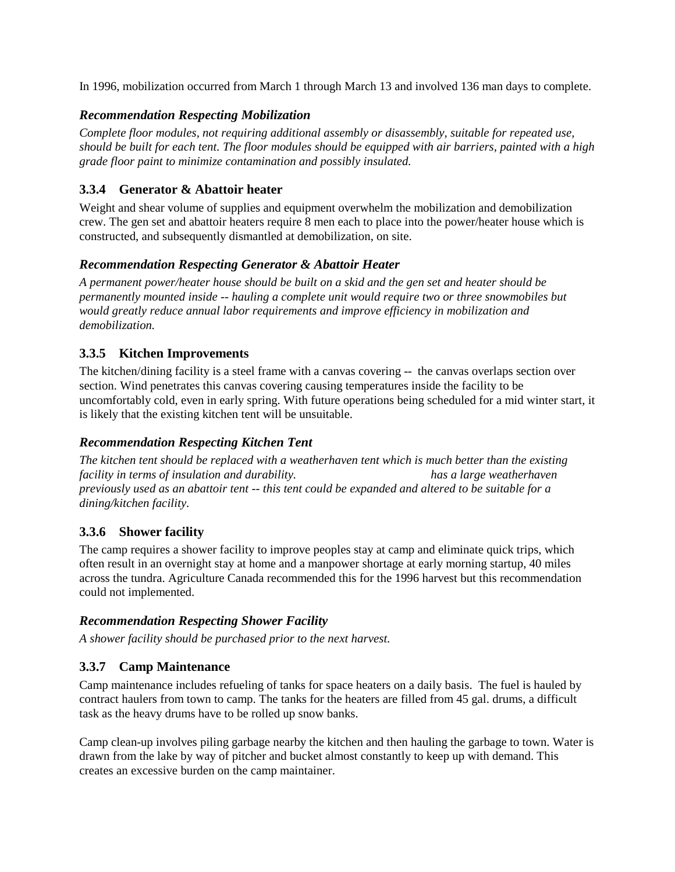In 1996, mobilization occurred from March 1 through March 13 and involved 136 man days to complete.

#### *Recommendation Respecting Mobilization*

*Complete floor modules, not requiring additional assembly or disassembly, suitable for repeated use, should be built for each tent. The floor modules should be equipped with air barriers, painted with a high grade floor paint to minimize contamination and possibly insulated.*

### **3.3.4 Generator & Abattoir heater**

Weight and shear volume of supplies and equipment overwhelm the mobilization and demobilization crew. The gen set and abattoir heaters require 8 men each to place into the power/heater house which is constructed, and subsequently dismantled at demobilization, on site.

#### *Recommendation Respecting Generator & Abattoir Heater*

*A permanent power/heater house should be built on a skid and the gen set and heater should be permanently mounted inside -- hauling a complete unit would require two or three snowmobiles but would greatly reduce annual labor requirements and improve efficiency in mobilization and demobilization.*

### **3.3.5 Kitchen Improvements**

The kitchen/dining facility is a steel frame with a canvas covering -- the canvas overlaps section over section. Wind penetrates this canvas covering causing temperatures inside the facility to be uncomfortably cold, even in early spring. With future operations being scheduled for a mid winter start, it is likely that the existing kitchen tent will be unsuitable.

### *Recommendation Respecting Kitchen Tent*

*The kitchen tent should be replaced with a weatherhaven tent which is much better than the existing facility in terms of insulation and durability.* The *has a large weatherhaven has a large weatherhaven previously used as an abattoir tent -- this tent could be expanded and altered to be suitable for a dining/kitchen facility.*

#### **3.3.6 Shower facility**

The camp requires a shower facility to improve peoples stay at camp and eliminate quick trips, which often result in an overnight stay at home and a manpower shortage at early morning startup, 40 miles across the tundra. Agriculture Canada recommended this for the 1996 harvest but this recommendation could not implemented.

#### *Recommendation Respecting Shower Facility*

*A shower facility should be purchased prior to the next harvest.*

#### **3.3.7 Camp Maintenance**

Camp maintenance includes refueling of tanks for space heaters on a daily basis. The fuel is hauled by contract haulers from town to camp. The tanks for the heaters are filled from 45 gal. drums, a difficult task as the heavy drums have to be rolled up snow banks.

Camp clean-up involves piling garbage nearby the kitchen and then hauling the garbage to town. Water is drawn from the lake by way of pitcher and bucket almost constantly to keep up with demand. This creates an excessive burden on the camp maintainer.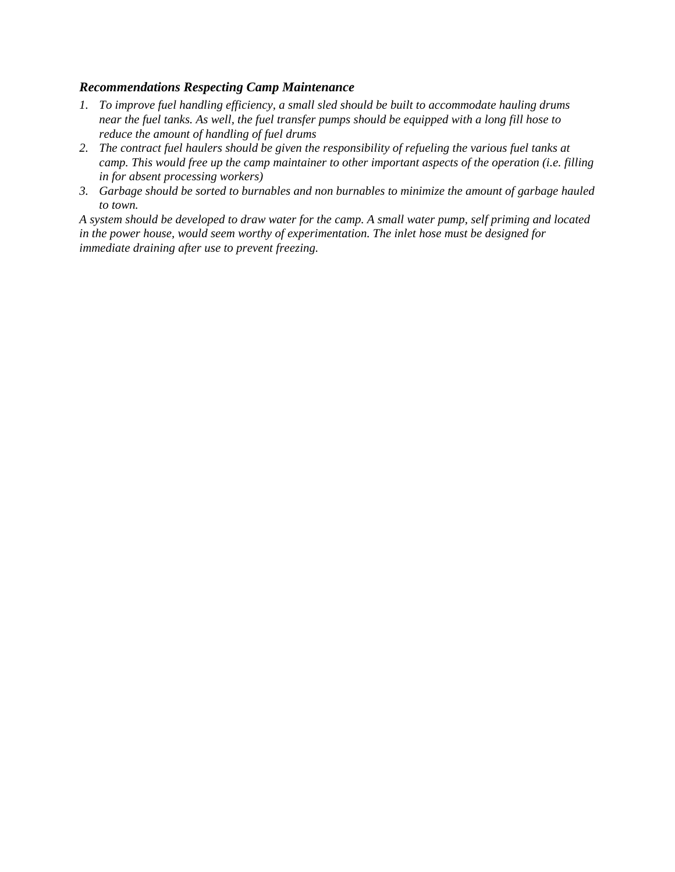#### *Recommendations Respecting Camp Maintenance*

- *1. To improve fuel handling efficiency, a small sled should be built to accommodate hauling drums near the fuel tanks. As well, the fuel transfer pumps should be equipped with a long fill hose to reduce the amount of handling of fuel drums*
- *2. The contract fuel haulers should be given the responsibility of refueling the various fuel tanks at camp. This would free up the camp maintainer to other important aspects of the operation (i.e. filling in for absent processing workers)*
- *3. Garbage should be sorted to burnables and non burnables to minimize the amount of garbage hauled to town.*

*A system should be developed to draw water for the camp. A small water pump, self priming and located in the power house, would seem worthy of experimentation. The inlet hose must be designed for immediate draining after use to prevent freezing.*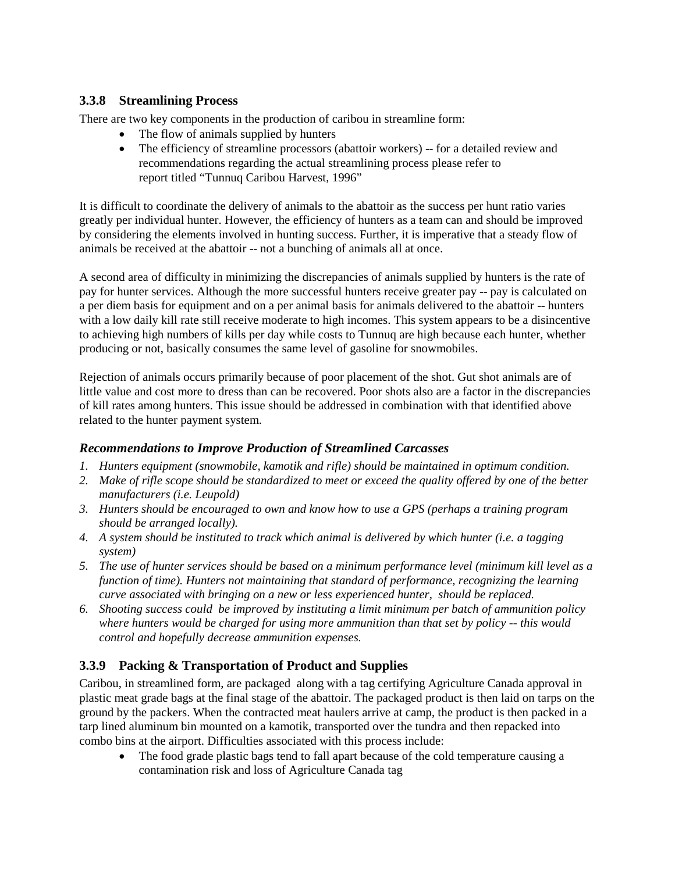#### **3.3.8 Streamlining Process**

There are two key components in the production of caribou in streamline form:

- The flow of animals supplied by hunters
- The efficiency of streamline processors (abattoir workers) -- for a detailed review and recommendations regarding the actual streamlining process please refer to report titled "Tunnuq Caribou Harvest, 1996"

It is difficult to coordinate the delivery of animals to the abattoir as the success per hunt ratio varies greatly per individual hunter. However, the efficiency of hunters as a team can and should be improved by considering the elements involved in hunting success. Further, it is imperative that a steady flow of animals be received at the abattoir -- not a bunching of animals all at once.

A second area of difficulty in minimizing the discrepancies of animals supplied by hunters is the rate of pay for hunter services. Although the more successful hunters receive greater pay -- pay is calculated on a per diem basis for equipment and on a per animal basis for animals delivered to the abattoir -- hunters with a low daily kill rate still receive moderate to high incomes. This system appears to be a disincentive to achieving high numbers of kills per day while costs to Tunnuq are high because each hunter, whether producing or not, basically consumes the same level of gasoline for snowmobiles.

Rejection of animals occurs primarily because of poor placement of the shot. Gut shot animals are of little value and cost more to dress than can be recovered. Poor shots also are a factor in the discrepancies of kill rates among hunters. This issue should be addressed in combination with that identified above related to the hunter payment system.

#### *Recommendations to Improve Production of Streamlined Carcasses*

- *1. Hunters equipment (snowmobile, kamotik and rifle) should be maintained in optimum condition.*
- *2. Make of rifle scope should be standardized to meet or exceed the quality offered by one of the better manufacturers (i.e. Leupold)*
- *3. Hunters should be encouraged to own and know how to use a GPS (perhaps a training program should be arranged locally).*
- *4. A system should be instituted to track which animal is delivered by which hunter (i.e. a tagging system)*
- *5. The use of hunter services should be based on a minimum performance level (minimum kill level as a function of time). Hunters not maintaining that standard of performance, recognizing the learning curve associated with bringing on a new or less experienced hunter, should be replaced.*
- *6. Shooting success could be improved by instituting a limit minimum per batch of ammunition policy where hunters would be charged for using more ammunition than that set by policy -- this would control and hopefully decrease ammunition expenses.*

## **3.3.9 Packing & Transportation of Product and Supplies**

Caribou, in streamlined form, are packaged along with a tag certifying Agriculture Canada approval in plastic meat grade bags at the final stage of the abattoir. The packaged product is then laid on tarps on the ground by the packers. When the contracted meat haulers arrive at camp, the product is then packed in a tarp lined aluminum bin mounted on a kamotik, transported over the tundra and then repacked into combo bins at the airport. Difficulties associated with this process include:

• The food grade plastic bags tend to fall apart because of the cold temperature causing a contamination risk and loss of Agriculture Canada tag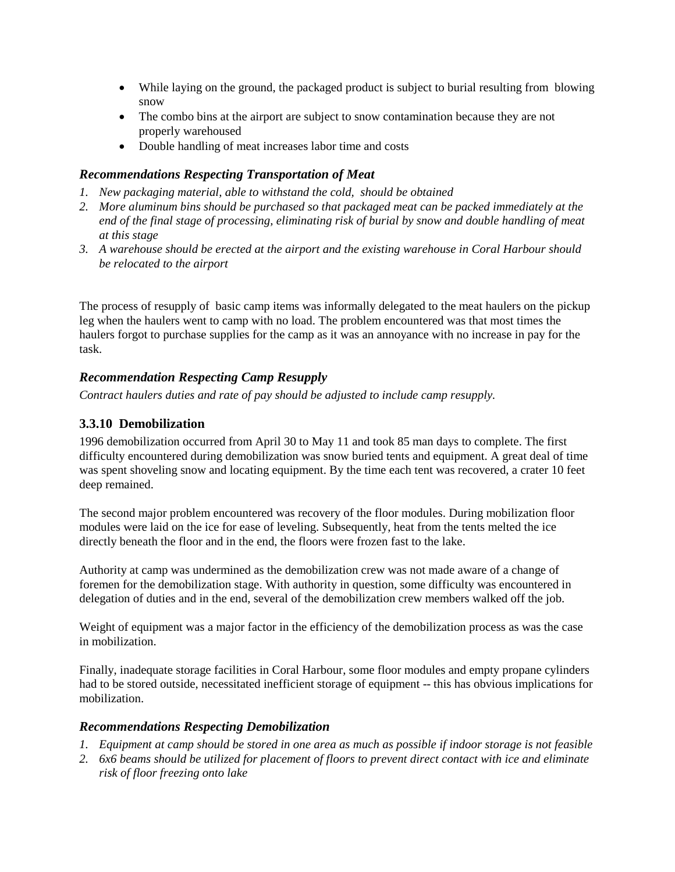- While laying on the ground, the packaged product is subject to burial resulting from blowing snow
- The combo bins at the airport are subject to snow contamination because they are not properly warehoused
- Double handling of meat increases labor time and costs

#### *Recommendations Respecting Transportation of Meat*

- *1. New packaging material, able to withstand the cold, should be obtained*
- *2. More aluminum bins should be purchased so that packaged meat can be packed immediately at the end of the final stage of processing, eliminating risk of burial by snow and double handling of meat at this stage*
- *3. A warehouse should be erected at the airport and the existing warehouse in Coral Harbour should be relocated to the airport*

The process of resupply of basic camp items was informally delegated to the meat haulers on the pickup leg when the haulers went to camp with no load. The problem encountered was that most times the haulers forgot to purchase supplies for the camp as it was an annoyance with no increase in pay for the task.

#### *Recommendation Respecting Camp Resupply*

*Contract haulers duties and rate of pay should be adjusted to include camp resupply.*

#### **3.3.10 Demobilization**

1996 demobilization occurred from April 30 to May 11 and took 85 man days to complete. The first difficulty encountered during demobilization was snow buried tents and equipment. A great deal of time was spent shoveling snow and locating equipment. By the time each tent was recovered, a crater 10 feet deep remained.

The second major problem encountered was recovery of the floor modules. During mobilization floor modules were laid on the ice for ease of leveling. Subsequently, heat from the tents melted the ice directly beneath the floor and in the end, the floors were frozen fast to the lake.

Authority at camp was undermined as the demobilization crew was not made aware of a change of foremen for the demobilization stage. With authority in question, some difficulty was encountered in delegation of duties and in the end, several of the demobilization crew members walked off the job.

Weight of equipment was a major factor in the efficiency of the demobilization process as was the case in mobilization.

Finally, inadequate storage facilities in Coral Harbour, some floor modules and empty propane cylinders had to be stored outside, necessitated inefficient storage of equipment -- this has obvious implications for mobilization.

#### *Recommendations Respecting Demobilization*

- *1. Equipment at camp should be stored in one area as much as possible if indoor storage is not feasible*
- *2. 6x6 beams should be utilized for placement of floors to prevent direct contact with ice and eliminate risk of floor freezing onto lake*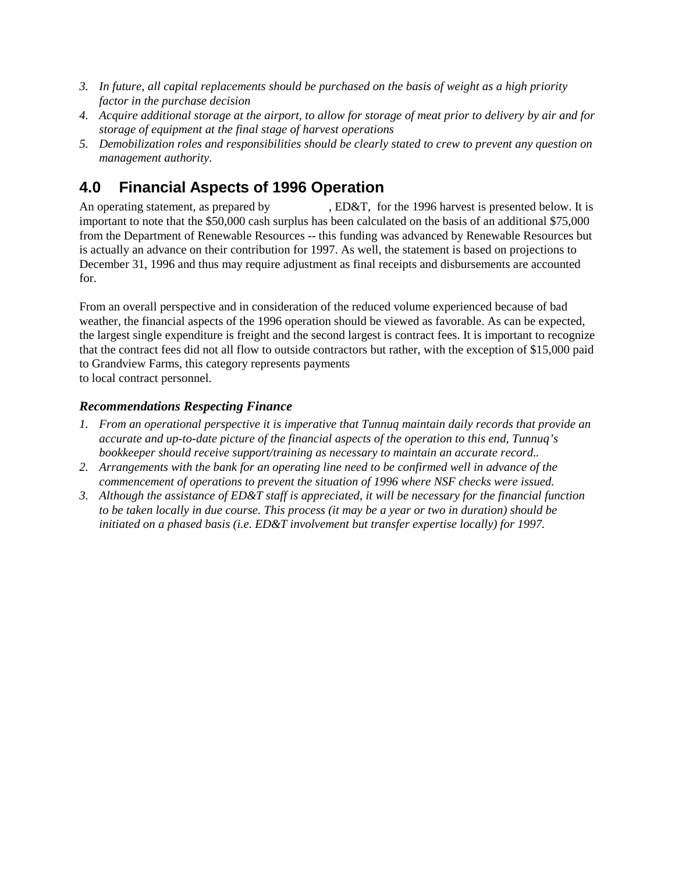- *3. In future, all capital replacements should be purchased on the basis of weight as a high priority factor in the purchase decision*
- *4. Acquire additional storage at the airport, to allow for storage of meat prior to delivery by air and for storage of equipment at the final stage of harvest operations*
- *5. Demobilization roles and responsibilities should be clearly stated to crew to prevent any question on management authority.*

## **4.0 Financial Aspects of 1996 Operation**

An operating statement, as prepared by  $\qquad \qquad$ , ED&T, for the 1996 harvest is presented below. It is important to note that the \$50,000 cash surplus has been calculated on the basis of an additional \$75,000 from the Department of Renewable Resources -- this funding was advanced by Renewable Resources but is actually an advance on their contribution for 1997. As well, the statement is based on projections to December 31, 1996 and thus may require adjustment as final receipts and disbursements are accounted for.

From an overall perspective and in consideration of the reduced volume experienced because of bad weather, the financial aspects of the 1996 operation should be viewed as favorable. As can be expected, the largest single expenditure is freight and the second largest is contract fees. It is important to recognize that the contract fees did not all flow to outside contractors but rather, with the exception of \$15,000 paid to Grandview Farms, this category represents payments to local contract personnel.

#### *Recommendations Respecting Finance*

- *1. From an operational perspective it is imperative that Tunnuq maintain daily records that provide an accurate and up-to-date picture of the financial aspects of the operation to this end, Tunnuq's bookkeeper should receive support/training as necessary to maintain an accurate record..*
- *2. Arrangements with the bank for an operating line need to be confirmed well in advance of the commencement of operations to prevent the situation of 1996 where NSF checks were issued.*
- *3. Although the assistance of ED&T staff is appreciated, it will be necessary for the financial function to be taken locally in due course. This process (it may be a year or two in duration) should be initiated on a phased basis (i.e. ED&T involvement but transfer expertise locally) for 1997.*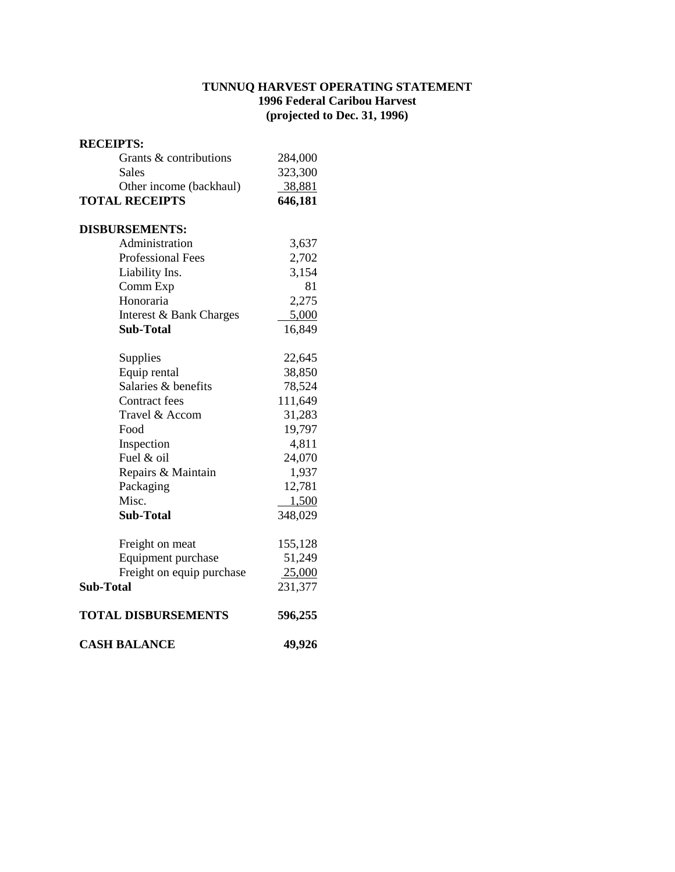#### **TUNNUQ HARVEST OPERATING STATEMENT 1996 Federal Caribou Harvest (projected to Dec. 31, 1996)**

#### **RECEIPTS:**

| Grants & contributions     | 284,000 |
|----------------------------|---------|
| <b>Sales</b>               | 323,300 |
| Other income (backhaul)    | 38,881  |
| <b>TOTAL RECEIPTS</b>      | 646,181 |
| <b>DISBURSEMENTS:</b>      |         |
| Administration             | 3,637   |
| <b>Professional Fees</b>   | 2,702   |
| Liability Ins.             | 3,154   |
| Comm Exp                   | 81      |
| Honoraria                  | 2,275   |
| Interest & Bank Charges    | 5,000   |
| Sub-Total                  | 16,849  |
| Supplies                   | 22,645  |
| Equip rental               | 38,850  |
| Salaries & benefits        | 78,524  |
| Contract fees              | 111,649 |
| Travel & Accom             | 31,283  |
| Food                       | 19,797  |
| Inspection                 | 4,811   |
| Fuel & oil                 | 24,070  |
| Repairs & Maintain         | 1,937   |
| Packaging                  | 12,781  |
| Misc.                      | 1,500   |
| <b>Sub-Total</b>           | 348,029 |
| Freight on meat            | 155,128 |
| Equipment purchase         | 51,249  |
| Freight on equip purchase  | 25,000  |
| <b>Sub-Total</b>           | 231,377 |
| <b>TOTAL DISBURSEMENTS</b> | 596,255 |
| <b>CASH BALANCE</b>        | 49,926  |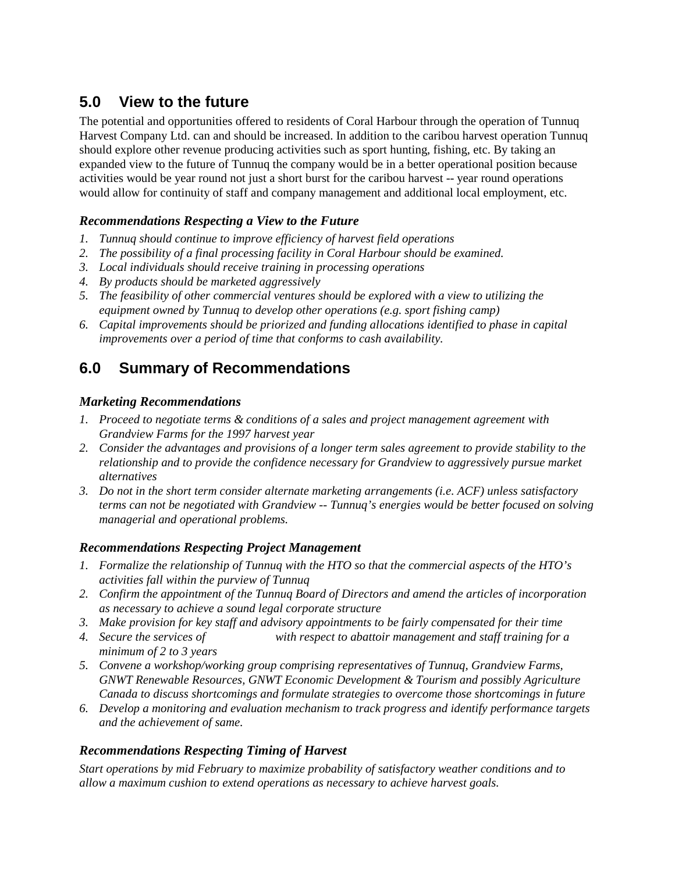## **5.0 View to the future**

The potential and opportunities offered to residents of Coral Harbour through the operation of Tunnuq Harvest Company Ltd. can and should be increased. In addition to the caribou harvest operation Tunnuq should explore other revenue producing activities such as sport hunting, fishing, etc. By taking an expanded view to the future of Tunnuq the company would be in a better operational position because activities would be year round not just a short burst for the caribou harvest -- year round operations would allow for continuity of staff and company management and additional local employment, etc.

### *Recommendations Respecting a View to the Future*

- *1. Tunnuq should continue to improve efficiency of harvest field operations*
- *2. The possibility of a final processing facility in Coral Harbour should be examined.*
- *3. Local individuals should receive training in processing operations*
- *4. By products should be marketed aggressively*
- *5. The feasibility of other commercial ventures should be explored with a view to utilizing the equipment owned by Tunnuq to develop other operations (e.g. sport fishing camp)*
- *6. Capital improvements should be priorized and funding allocations identified to phase in capital improvements over a period of time that conforms to cash availability.*

## **6.0 Summary of Recommendations**

#### *Marketing Recommendations*

- *1. Proceed to negotiate terms & conditions of a sales and project management agreement with Grandview Farms for the 1997 harvest year*
- *2. Consider the advantages and provisions of a longer term sales agreement to provide stability to the relationship and to provide the confidence necessary for Grandview to aggressively pursue market alternatives*
- *3. Do not in the short term consider alternate marketing arrangements (i.e. ACF) unless satisfactory terms can not be negotiated with Grandview -- Tunnuq's energies would be better focused on solving managerial and operational problems.*

#### *Recommendations Respecting Project Management*

- *1. Formalize the relationship of Tunnuq with the HTO so that the commercial aspects of the HTO's activities fall within the purview of Tunnuq*
- *2. Confirm the appointment of the Tunnuq Board of Directors and amend the articles of incorporation as necessary to achieve a sound legal corporate structure*
- *3. Make provision for key staff and advisory appointments to be fairly compensated for their time*
- *4. Secure the services of Dave Pelling with respect to abattoir management and staff training for a minimum of 2 to 3 years*
- *5. Convene a workshop/working group comprising representatives of Tunnuq, Grandview Farms, GNWT Renewable Resources, GNWT Economic Development & Tourism and possibly Agriculture Canada to discuss shortcomings and formulate strategies to overcome those shortcomings in future*
- *6. Develop a monitoring and evaluation mechanism to track progress and identify performance targets and the achievement of same.*

## *Recommendations Respecting Timing of Harvest*

*Start operations by mid February to maximize probability of satisfactory weather conditions and to allow a maximum cushion to extend operations as necessary to achieve harvest goals.*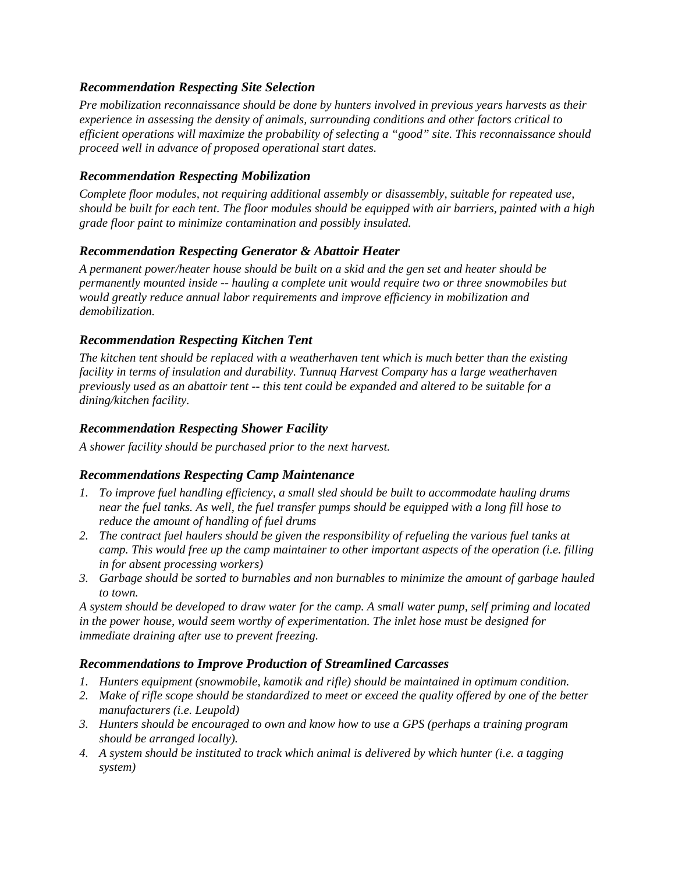#### *Recommendation Respecting Site Selection*

*Pre mobilization reconnaissance should be done by hunters involved in previous years harvests as their experience in assessing the density of animals, surrounding conditions and other factors critical to efficient operations will maximize the probability of selecting a "good" site. This reconnaissance should proceed well in advance of proposed operational start dates.*

#### *Recommendation Respecting Mobilization*

*Complete floor modules, not requiring additional assembly or disassembly, suitable for repeated use, should be built for each tent. The floor modules should be equipped with air barriers, painted with a high grade floor paint to minimize contamination and possibly insulated.*

#### *Recommendation Respecting Generator & Abattoir Heater*

*A permanent power/heater house should be built on a skid and the gen set and heater should be permanently mounted inside -- hauling a complete unit would require two or three snowmobiles but would greatly reduce annual labor requirements and improve efficiency in mobilization and demobilization.*

#### *Recommendation Respecting Kitchen Tent*

*The kitchen tent should be replaced with a weatherhaven tent which is much better than the existing facility in terms of insulation and durability. Tunnuq Harvest Company has a large weatherhaven previously used as an abattoir tent -- this tent could be expanded and altered to be suitable for a dining/kitchen facility.*

#### *Recommendation Respecting Shower Facility*

*A shower facility should be purchased prior to the next harvest.*

#### *Recommendations Respecting Camp Maintenance*

- *1. To improve fuel handling efficiency, a small sled should be built to accommodate hauling drums near the fuel tanks. As well, the fuel transfer pumps should be equipped with a long fill hose to reduce the amount of handling of fuel drums*
- *2. The contract fuel haulers should be given the responsibility of refueling the various fuel tanks at camp. This would free up the camp maintainer to other important aspects of the operation (i.e. filling in for absent processing workers)*
- *3. Garbage should be sorted to burnables and non burnables to minimize the amount of garbage hauled to town.*

*A system should be developed to draw water for the camp. A small water pump, self priming and located in the power house, would seem worthy of experimentation. The inlet hose must be designed for immediate draining after use to prevent freezing.*

#### *Recommendations to Improve Production of Streamlined Carcasses*

- *1. Hunters equipment (snowmobile, kamotik and rifle) should be maintained in optimum condition.*
- *2. Make of rifle scope should be standardized to meet or exceed the quality offered by one of the better manufacturers (i.e. Leupold)*
- *3. Hunters should be encouraged to own and know how to use a GPS (perhaps a training program should be arranged locally).*
- *4. A system should be instituted to track which animal is delivered by which hunter (i.e. a tagging system)*